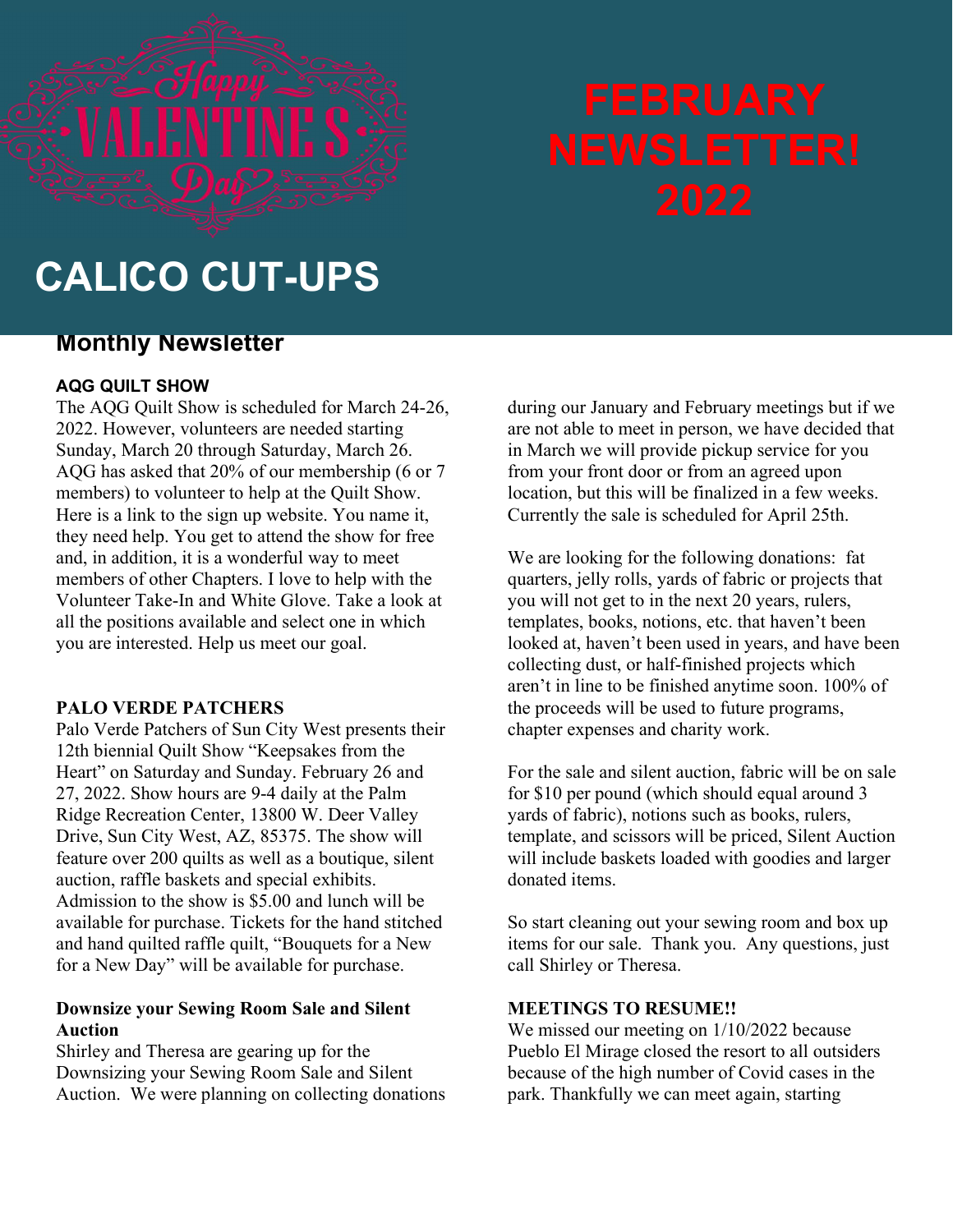## CALICO CUT-UPS

### Monthly Newsletter

#### AQG QUILT SHOW

The AQG Quilt Show is scheduled for March 24-26, 2022. However, volunteers are needed starting Sunday, March 20 through Saturday, March 26. AQG has asked that 20% of our membership (6 or 7 members) to volunteer to help at the Quilt Show. Here is a link to the sign up website. You name it, they need help. You get to attend the show for free and, in addition, it is a wonderful way to meet members of other Chapters. I love to help with the Volunteer Take-In and White Glove. Take a look at all the positions available and select one in which you are interested. Help us meet our goal.

#### PALO VERDE PATCHERS

Palo Verde Patchers of Sun City West presents their 12th biennial Quilt Show "Keepsakes from the Heart" on Saturday and Sunday. February 26 and 27, 2022. Show hours are 9-4 daily at the Palm Ridge Recreation Center, 13800 W. Deer Valley Drive, Sun City West, AZ, 85375. The show will feature over 200 quilts as well as a boutique, silent auction, raffle baskets and special exhibits. Admission to the show is \$5.00 and lunch will be available for purchase. Tickets for the hand stitched and hand quilted raffle quilt, "Bouquets for a New for a New Day" will be available for purchase.

#### Downsize your Sewing Room Sale and Silent Auction

Shirley and Theresa are gearing up for the Downsizing your Sewing Room Sale and Silent Auction. We were planning on collecting donations during our January and February meetings but if we are not able to meet in person, we have decided that in March we will provide pickup service for you from your front door or from an agreed upon location, but this will be finalized in a few weeks. Currently the sale is scheduled for April 25th.

We are looking for the following donations: fat quarters, jelly rolls, yards of fabric or projects that you will not get to in the next 20 years, rulers, templates, books, notions, etc. that haven't been looked at, haven't been used in years, and have been collecting dust, or half-finished projects which aren't in line to be finished anytime soon. 100% of the proceeds will be used to future programs, chapter expenses and charity work.

For the sale and silent auction, fabric will be on sale for \$10 per pound (which should equal around 3 yards of fabric), notions such as books, rulers, template, and scissors will be priced, Silent Auction will include baskets loaded with goodies and larger donated items.

So start cleaning out your sewing room and box up items for our sale. Thank you. Any questions, just call Shirley or Theresa.

#### MEETINGS TO RESUME!!

We missed our meeting on  $1/10/2022$  because Pueblo El Mirage closed the resort to all outsiders because of the high number of Covid cases in the park. Thankfully we can meet again, starting